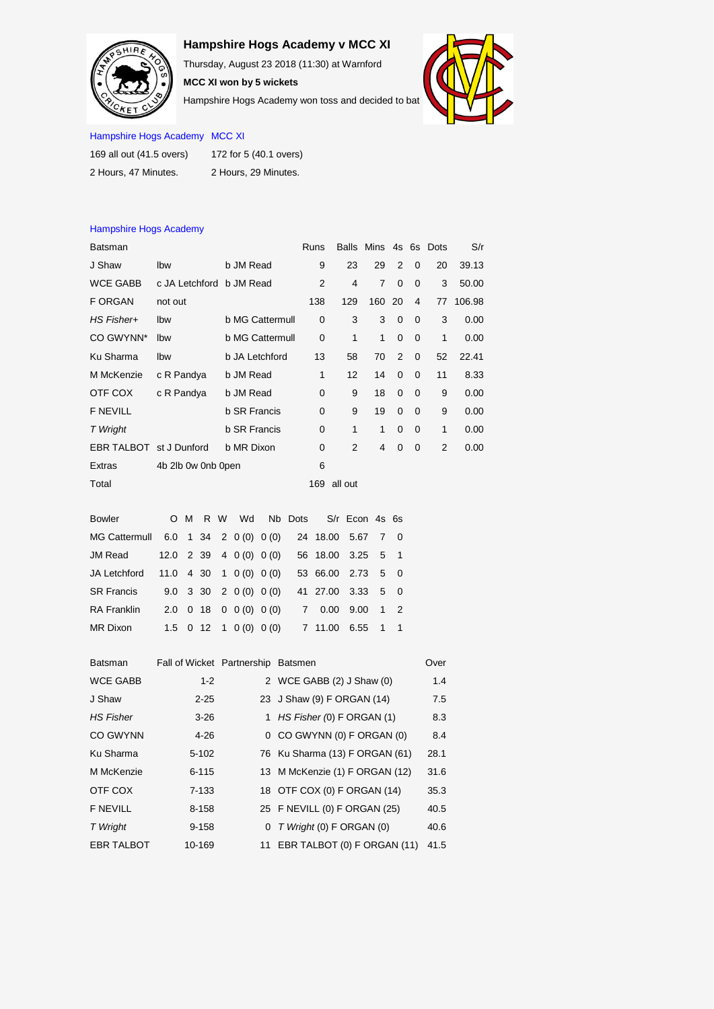## **Hampshire Hogs Academy v MCC XI**

Thursday, August 23 2018 (11:30) at Warnford

**MCC XI won by 5 wickets** Hampshire Hogs Academy won toss and decided to bat



## Hampshire Hogs Academy MCC XI

Hampshire Hogs Academy

| 169 all out (41.5 overs) | 172 for 5 (40.1 overs) |  |  |  |  |  |  |
|--------------------------|------------------------|--|--|--|--|--|--|
| 2 Hours. 47 Minutes.     | 2 Hours, 29 Minutes.   |  |  |  |  |  |  |

## Batsman **Batsman** Balls Mins 4s 6s Dots S/r J Shaw lbw b JM Read 9 23 29 2 0 20 39.13 WCE GABB c JA Letchford b JM Read 2 4 7 0 0 3 50.00 F ORGAN not out 138 129 160 20 4 77 106.98 *HS Fisher+* lbw b MG Cattermull 0 3 3 0 0 3 0.00 CO GWYNN\* lbw b MG Cattermull 0 1 1 0 0 1 0.00 Ku Sharma lbw b JA Letchford 13 58 70 2 0 52 22.41 M McKenzie c R Pandya b JM Read 1 12 14 0 0 11 8.33 OTF COX c R Pandya b JM Read 0 9 18 0 0 9 0.00 F NEVILL b SR Francis 0 9 19 0 0 9 0.00 *T Wright* b SR Francis 0 1 1 0 0 1 0.00 EBR TALBOT st J Dunford b MR Dixon 0 2 4 0 0 2 0.00 Extras 4b 2lb 0w 0nb 0pen 6 Total 169 all out

| <b>Bowler</b>                        |  |  |                                                                    |                          | O M R W Wd Nb Dots S/r Econ 4s 6s         |          |  |  |
|--------------------------------------|--|--|--------------------------------------------------------------------|--------------------------|-------------------------------------------|----------|--|--|
| MG Cattermull 6.0 1 34 2 0 (0) 0 (0) |  |  |                                                                    |                          | 24 18.00 5.67 7 0                         |          |  |  |
| JM Read                              |  |  |                                                                    |                          | 12.0 2 39 4 0 (0) 0 (0) 56 18.00 3.25 5 1 |          |  |  |
| JA Letchford                         |  |  | $11.0$ 4 30 1 0 (0) 0 (0)                                          |                          | 53 66.00 2.73 5 0                         |          |  |  |
| <b>SR Francis</b>                    |  |  | $9.0 \quad 3 \quad 30 \quad 2 \quad 0 \quad (0) \quad 0 \quad (0)$ |                          | 41 27.00 3.33 5 0                         |          |  |  |
| <b>RA Franklin</b>                   |  |  | $2.0 \t0 18 \t0 0(0) 0(0)$                                         |                          | 7 0.00 9.00 1 2                           |          |  |  |
| MR Dixon                             |  |  |                                                                    | $1.5$ 0 12 1 0 (0) 0 (0) | 7 11.00                                   | 6.55 1 1 |  |  |
|                                      |  |  |                                                                    |                          |                                           |          |  |  |

| <b>Batsman</b>    | Fall of Wicket Partnership Batsmen |   |                                | Over |
|-------------------|------------------------------------|---|--------------------------------|------|
| <b>WCE GABB</b>   | $1 - 2$                            |   | 2 WCE GABB (2) J Shaw (0)      | 1.4  |
| J Shaw            | $2 - 25$                           |   | 23 J Shaw (9) F ORGAN (14)     | 7.5  |
| <b>HS Fisher</b>  | $3 - 26$                           |   | 1 HS Fisher (0) F ORGAN (1)    | 8.3  |
| <b>CO GWYNN</b>   | $4 - 26$                           |   | 0 CO GWYNN (0) F ORGAN (0)     | 8.4  |
| Ku Sharma         | $5 - 102$                          |   | 76 Ku Sharma (13) F ORGAN (61) | 28.1 |
| M McKenzie        | $6 - 115$                          |   | 13 M McKenzie (1) F ORGAN (12) | 31.6 |
| OTF COX           | $7 - 133$                          |   | 18 OTF COX (0) F ORGAN (14)    | 35.3 |
| <b>F NEVILL</b>   | 8-158                              |   | 25 F NEVILL (0) F ORGAN (25)   | 40.5 |
| T Wright          | $9 - 158$                          | 0 | T Wright (0) F ORGAN (0)       | 40.6 |
| <b>EBR TALBOT</b> | 10-169                             |   | 11 EBR TALBOT (0) F ORGAN (11) | 41.5 |